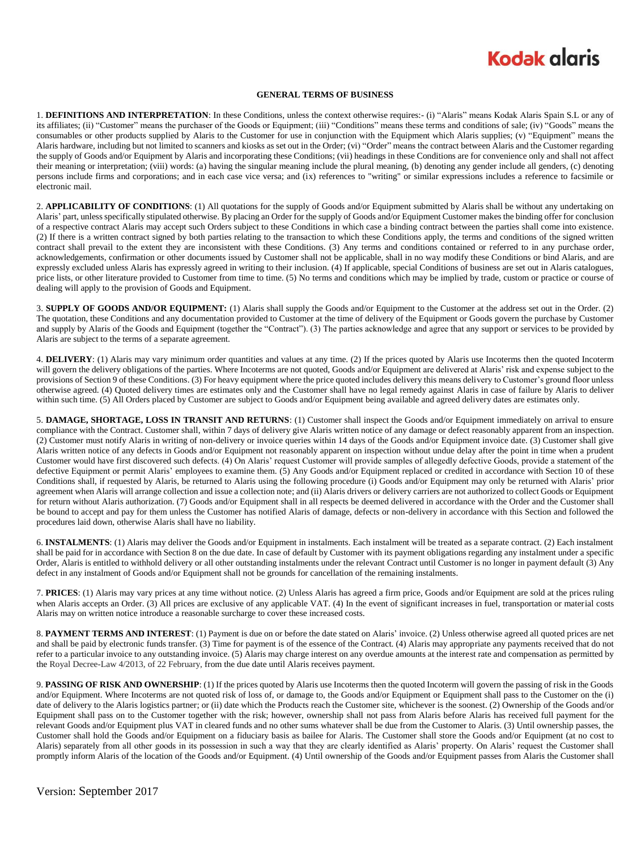## **Kodak alaris**

#### **GENERAL TERMS OF BUSINESS**

1. **DEFINITIONS AND INTERPRETATION**: In these Conditions, unless the context otherwise requires:- (i) "Alaris" means Kodak Alaris Spain S.L or any of its affiliates; (ii) "Customer" means the purchaser of the Goods or Equipment; (iii) "Conditions" means these terms and conditions of sale; (iv) "Goods" means the consumables or other products supplied by Alaris to the Customer for use in conjunction with the Equipment which Alaris supplies; (v) "Equipment" means the Alaris hardware, including but not limited to scanners and kiosks as set out in the Order; (vi) "Order" means the contract between Alaris and the Customer regarding the supply of Goods and/or Equipment by Alaris and incorporating these Conditions; (vii) headings in these Conditions are for convenience only and shall not affect their meaning or interpretation; (viii) words: (a) having the singular meaning include the plural meaning, (b) denoting any gender include all genders, (c) denoting persons include firms and corporations; and in each case vice versa; and (ix) references to "writing" or similar expressions includes a reference to facsimile or electronic mail.

2. **APPLICABILITY OF CONDITIONS**: (1) All quotations for the supply of Goods and/or Equipment submitted by Alaris shall be without any undertaking on Alaris' part, unless specifically stipulated otherwise. By placing an Order for the supply of Goods and/or Equipment Customer makes the binding offer for conclusion of a respective contract Alaris may accept such Orders subject to these Conditions in which case a binding contract between the parties shall come into existence. (2) If there is a written contract signed by both parties relating to the transaction to which these Conditions apply, the terms and conditions of the signed written contract shall prevail to the extent they are inconsistent with these Conditions. (3) Any terms and conditions contained or referred to in any purchase order, acknowledgements, confirmation or other documents issued by Customer shall not be applicable, shall in no way modify these Conditions or bind Alaris, and are expressly excluded unless Alaris has expressly agreed in writing to their inclusion. (4) If applicable, special Conditions of business are set out in Alaris catalogues, price lists, or other literature provided to Customer from time to time. (5) No terms and conditions which may be implied by trade, custom or practice or course of dealing will apply to the provision of Goods and Equipment.

3. **SUPPLY OF GOODS AND/OR EQUIPMENT:** (1) Alaris shall supply the Goods and/or Equipment to the Customer at the address set out in the Order. (2) The quotation, these Conditions and any documentation provided to Customer at the time of delivery of the Equipment or Goods govern the purchase by Customer and supply by Alaris of the Goods and Equipment (together the "Contract"). (3) The parties acknowledge and agree that any support or services to be provided by Alaris are subject to the terms of a separate agreement.

4. **DELIVERY**: (1) Alaris may vary minimum order quantities and values at any time. (2) If the prices quoted by Alaris use Incoterms then the quoted Incoterm will govern the delivery obligations of the parties. Where Incoterms are not quoted, Goods and/or Equipment are delivered at Alaris' risk and expense subject to the provisions of Section 9 of these Conditions. (3) For heavy equipment where the price quoted includes delivery this means delivery to Customer's ground floor unless otherwise agreed. (4) Quoted delivery times are estimates only and the Customer shall have no legal remedy against Alaris in case of failure by Alaris to deliver within such time. (5) All Orders placed by Customer are subject to Goods and/or Equipment being available and agreed delivery dates are estimates only.

5. **DAMAGE, SHORTAGE, LOSS IN TRANSIT AND RETURNS**: (1) Customer shall inspect the Goods and/or Equipment immediately on arrival to ensure compliance with the Contract. Customer shall, within 7 days of delivery give Alaris written notice of any damage or defect reasonably apparent from an inspection. (2) Customer must notify Alaris in writing of non-delivery or invoice queries within 14 days of the Goods and/or Equipment invoice date. (3) Customer shall give Alaris written notice of any defects in Goods and/or Equipment not reasonably apparent on inspection without undue delay after the point in time when a prudent Customer would have first discovered such defects. (4) On Alaris' request Customer will provide samples of allegedly defective Goods, provide a statement of the defective Equipment or permit Alaris' employees to examine them. (5) Any Goods and/or Equipment replaced or credited in accordance with Section 10 of these Conditions shall, if requested by Alaris, be returned to Alaris using the following procedure (i) Goods and/or Equipment may only be returned with Alaris' prior agreement when Alaris will arrange collection and issue a collection note; and (ii) Alaris drivers or delivery carriers are not authorized to collect Goods or Equipment for return without Alaris authorization. (7) Goods and/or Equipment shall in all respects be deemed delivered in accordance with the Order and the Customer shall be bound to accept and pay for them unless the Customer has notified Alaris of damage, defects or non-delivery in accordance with this Section and followed the procedures laid down, otherwise Alaris shall have no liability.

6. **INSTALMENTS**: (1) Alaris may deliver the Goods and/or Equipment in instalments. Each instalment will be treated as a separate contract. (2) Each instalment shall be paid for in accordance with Section 8 on the due date. In case of default by Customer with its payment obligations regarding any instalment under a specific Order, Alaris is entitled to withhold delivery or all other outstanding instalments under the relevant Contract until Customer is no longer in payment default (3) Any defect in any instalment of Goods and/or Equipment shall not be grounds for cancellation of the remaining instalments.

7. **PRICES**: (1) Alaris may vary prices at any time without notice. (2) Unless Alaris has agreed a firm price, Goods and/or Equipment are sold at the prices ruling when Alaris accepts an Order. (3) All prices are exclusive of any applicable VAT. (4) In the event of significant increases in fuel, transportation or material costs Alaris may on written notice introduce a reasonable surcharge to cover these increased costs.

8. **PAYMENT TERMS AND INTEREST**: (1) Payment is due on or before the date stated on Alaris' invoice. (2) Unless otherwise agreed all quoted prices are net and shall be paid by electronic funds transfer. (3) Time for payment is of the essence of the Contract. (4) Alaris may appropriate any payments received that do not refer to a particular invoice to any outstanding invoice. (5) Alaris may charge interest on any overdue amounts at the interest rate and compensation as permitted by the Royal Decree-Law 4/2013, of 22 February, from the due date until Alaris receives payment.

9. **PASSING OF RISK AND OWNERSHIP**: (1) If the prices quoted by Alaris use Incoterms then the quoted Incoterm will govern the passing of risk in the Goods and/or Equipment. Where Incoterms are not quoted risk of loss of, or damage to, the Goods and/or Equipment or Equipment shall pass to the Customer on the (i) date of delivery to the Alaris logistics partner; or (ii) date which the Products reach the Customer site, whichever is the soonest. (2) Ownership of the Goods and/or Equipment shall pass on to the Customer together with the risk; however, ownership shall not pass from Alaris before Alaris has received full payment for the relevant Goods and/or Equipment plus VAT in cleared funds and no other sums whatever shall be due from the Customer to Alaris. (3) Until ownership passes, the Customer shall hold the Goods and/or Equipment on a fiduciary basis as bailee for Alaris. The Customer shall store the Goods and/or Equipment (at no cost to Alaris) separately from all other goods in its possession in such a way that they are clearly identified as Alaris' property. On Alaris' request the Customer shall promptly inform Alaris of the location of the Goods and/or Equipment. (4) Until ownership of the Goods and/or Equipment passes from Alaris the Customer shall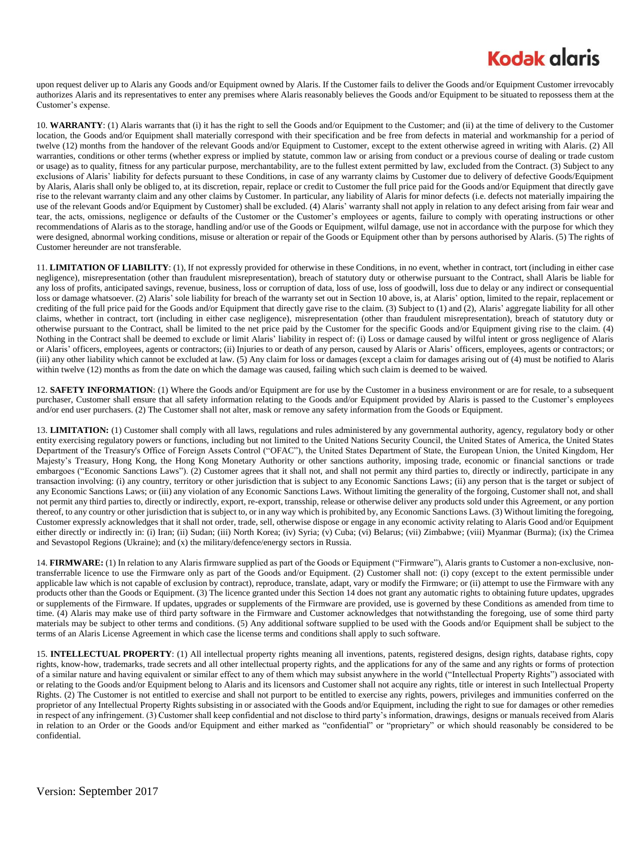## **Kodak glaris**

upon request deliver up to Alaris any Goods and/or Equipment owned by Alaris. If the Customer fails to deliver the Goods and/or Equipment Customer irrevocably authorizes Alaris and its representatives to enter any premises where Alaris reasonably believes the Goods and/or Equipment to be situated to repossess them at the Customer's expense.

10. **WARRANTY**: (1) Alaris warrants that (i) it has the right to sell the Goods and/or Equipment to the Customer; and (ii) at the time of delivery to the Customer location, the Goods and/or Equipment shall materially correspond with their specification and be free from defects in material and workmanship for a period of twelve (12) months from the handover of the relevant Goods and/or Equipment to Customer, except to the extent otherwise agreed in writing with Alaris. (2) All warranties, conditions or other terms (whether express or implied by statute, common law or arising from conduct or a previous course of dealing or trade custom or usage) as to quality, fitness for any particular purpose, merchantability, are to the fullest extent permitted by law, excluded from the Contract. (3) Subject to any exclusions of Alaris' liability for defects pursuant to these Conditions, in case of any warranty claims by Customer due to delivery of defective Goods/Equipment by Alaris, Alaris shall only be obliged to, at its discretion, repair, replace or credit to Customer the full price paid for the Goods and/or Equipment that directly gave rise to the relevant warranty claim and any other claims by Customer. In particular, any liability of Alaris for minor defects (i.e. defects not materially impairing the use of the relevant Goods and/or Equipment by Customer) shall be excluded. (4) Alaris' warranty shall not apply in relation to any defect arising from fair wear and tear, the acts, omissions, negligence or defaults of the Customer or the Customer's employees or agents, failure to comply with operating instructions or other recommendations of Alaris as to the storage, handling and/or use of the Goods or Equipment, wilful damage, use not in accordance with the purpose for which they were designed, abnormal working conditions, misuse or alteration or repair of the Goods or Equipment other than by persons authorised by Alaris. (5) The rights of Customer hereunder are not transferable.

11. **LIMITATION OF LIABILITY**: (1), If not expressly provided for otherwise in these Conditions, in no event, whether in contract, tort (including in either case negligence), misrepresentation (other than fraudulent misrepresentation), breach of statutory duty or otherwise pursuant to the Contract, shall Alaris be liable for any loss of profits, anticipated savings, revenue, business, loss or corruption of data, loss of use, loss of goodwill, loss due to delay or any indirect or consequential loss or damage whatsoever. (2) Alaris' sole liability for breach of the warranty set out in Section 10 above, is, at Alaris' option, limited to the repair, replacement or crediting of the full price paid for the Goods and/or Equipment that directly gave rise to the claim. (3) Subject to (1) and (2), Alaris' aggregate liability for all other claims, whether in contract, tort (including in either case negligence), misrepresentation (other than fraudulent misrepresentation), breach of statutory duty or otherwise pursuant to the Contract, shall be limited to the net price paid by the Customer for the specific Goods and/or Equipment giving rise to the claim. (4) Nothing in the Contract shall be deemed to exclude or limit Alaris' liability in respect of: (i) Loss or damage caused by wilful intent or gross negligence of Alaris or Alaris' officers, employees, agents or contractors; (ii) Injuries to or death of any person, caused by Alaris or Alaris' officers, employees, agents or contractors; or (iii) any other liability which cannot be excluded at law. (5) Any claim for loss or damages (except a claim for damages arising out of (4) must be notified to Alaris within twelve (12) months as from the date on which the damage was caused, failing which such claim is deemed to be waived.

12. **SAFETY INFORMATION**: (1) Where the Goods and/or Equipment are for use by the Customer in a business environment or are for resale, to a subsequent purchaser, Customer shall ensure that all safety information relating to the Goods and/or Equipment provided by Alaris is passed to the Customer's employees and/or end user purchasers. (2) The Customer shall not alter, mask or remove any safety information from the Goods or Equipment.

13. **LIMITATION:** (1) Customer shall comply with all laws, regulations and rules administered by any governmental authority, agency, regulatory body or other entity exercising regulatory powers or functions, including but not limited to the United Nations Security Council, the United States of America, the United States Department of the Treasury's Office of Foreign Assets Control ("OFAC"), the United States Department of State, the European Union, the United Kingdom, Her Majesty's Treasury, Hong Kong, the Hong Kong Monetary Authority or other sanctions authority, imposing trade, economic or financial sanctions or trade embargoes ("Economic Sanctions Laws"). (2) Customer agrees that it shall not, and shall not permit any third parties to, directly or indirectly, participate in any transaction involving: (i) any country, territory or other jurisdiction that is subject to any Economic Sanctions Laws; (ii) any person that is the target or subject of any Economic Sanctions Laws; or (iii) any violation of any Economic Sanctions Laws. Without limiting the generality of the forgoing, Customer shall not, and shall not permit any third parties to, directly or indirectly, export, re-export, transship, release or otherwise deliver any products sold under this Agreement, or any portion thereof, to any country or other jurisdiction that is subject to, or in any way which is prohibited by, any Economic Sanctions Laws. (3) Without limiting the foregoing, Customer expressly acknowledges that it shall not order, trade, sell, otherwise dispose or engage in any economic activity relating to Alaris Good and/or Equipment either directly or indirectly in: (i) Iran; (ii) Sudan; (iii) North Korea; (iv) Syria; (v) Cuba; (vi) Belarus; (vii) Zimbabwe; (viii) Myanmar (Burma); (ix) the Crimea and Sevastopol Regions (Ukraine); and (x) the military/defence/energy sectors in Russia.

14. **FIRMWARE:** (1) In relation to any Alaris firmware supplied as part of the Goods or Equipment ("Firmware"), Alaris grants to Customer a non-exclusive, nontransferrable licence to use the Firmware only as part of the Goods and/or Equipment. (2) Customer shall not: (i) copy (except to the extent permissible under applicable law which is not capable of exclusion by contract), reproduce, translate, adapt, vary or modify the Firmware; or (ii) attempt to use the Firmware with any products other than the Goods or Equipment. (3) The licence granted under this Section 14 does not grant any automatic rights to obtaining future updates, upgrades or supplements of the Firmware. If updates, upgrades or supplements of the Firmware are provided, use is governed by these Conditions as amended from time to time. (4) Alaris may make use of third party software in the Firmware and Customer acknowledges that notwithstanding the foregoing, use of some third party materials may be subject to other terms and conditions. (5) Any additional software supplied to be used with the Goods and/or Equipment shall be subject to the terms of an Alaris License Agreement in which case the license terms and conditions shall apply to such software.

15. **INTELLECTUAL PROPERTY**: (1) All intellectual property rights meaning all inventions, patents, registered designs, design rights, database rights, copy rights, know-how, trademarks, trade secrets and all other intellectual property rights, and the applications for any of the same and any rights or forms of protection of a similar nature and having equivalent or similar effect to any of them which may subsist anywhere in the world ("Intellectual Property Rights") associated with or relating to the Goods and/or Equipment belong to Alaris and its licensors and Customer shall not acquire any rights, title or interest in such Intellectual Property Rights. (2) The Customer is not entitled to exercise and shall not purport to be entitled to exercise any rights, powers, privileges and immunities conferred on the proprietor of any Intellectual Property Rights subsisting in or associated with the Goods and/or Equipment, including the right to sue for damages or other remedies in respect of any infringement. (3) Customer shall keep confidential and not disclose to third party's information, drawings, designs or manuals received from Alaris in relation to an Order or the Goods and/or Equipment and either marked as "confidential" or "proprietary" or which should reasonably be considered to be confidential.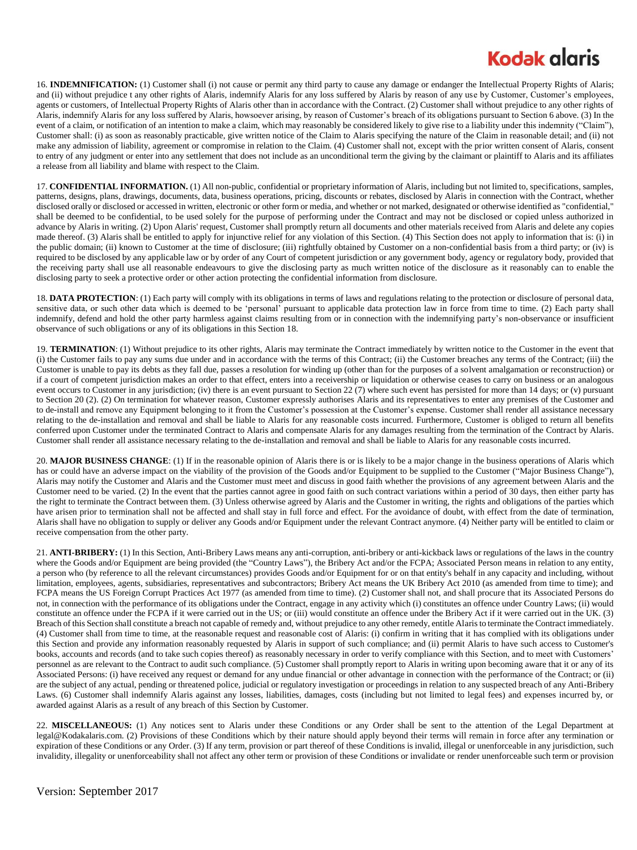## **Kodak glgris**

16. **INDEMNIFICATION:** (1) Customer shall (i) not cause or permit any third party to cause any damage or endanger the Intellectual Property Rights of Alaris; and (ii) without prejudice t any other rights of Alaris, indemnify Alaris for any loss suffered by Alaris by reason of any use by Customer, Customer's employees, agents or customers, of Intellectual Property Rights of Alaris other than in accordance with the Contract. (2) Customer shall without prejudice to any other rights of Alaris, indemnify Alaris for any loss suffered by Alaris, howsoever arising, by reason of Customer's breach of its obligations pursuant to Section 6 above. (3) In the event of a claim, or notification of an intention to make a claim, which may reasonably be considered likely to give rise to a liability under this indemnity ("Claim"), Customer shall: (i) as soon as reasonably practicable, give written notice of the Claim to Alaris specifying the nature of the Claim in reasonable detail; and (ii) not make any admission of liability, agreement or compromise in relation to the Claim. (4) Customer shall not, except with the prior written consent of Alaris, consent to entry of any judgment or enter into any settlement that does not include as an unconditional term the giving by the claimant or plaintiff to Alaris and its affiliates a release from all liability and blame with respect to the Claim.

17. **CONFIDENTIAL INFORMATION.** (1) All non-public, confidential or proprietary information of Alaris, including but not limited to, specifications, samples, patterns, designs, plans, drawings, documents, data, business operations, pricing, discounts or rebates, disclosed by Alaris in connection with the Contract, whether disclosed orally or disclosed or accessed in written, electronic or other form or media, and whether or not marked, designated or otherwise identified as "confidential," shall be deemed to be confidential, to be used solely for the purpose of performing under the Contract and may not be disclosed or copied unless authorized in advance by Alaris in writing. (2) Upon Alaris' request, Customer shall promptly return all documents and other materials received from Alaris and delete any copies made thereof. (3) Alaris shall be entitled to apply for injunctive relief for any violation of this Section. (4) This Section does not apply to information that is: (i) in the public domain; (ii) known to Customer at the time of disclosure; (iii) rightfully obtained by Customer on a non-confidential basis from a third party; or (iv) is required to be disclosed by any applicable law or by order of any Court of competent jurisdiction or any government body, agency or regulatory body, provided that the receiving party shall use all reasonable endeavours to give the disclosing party as much written notice of the disclosure as it reasonably can to enable the disclosing party to seek a protective order or other action protecting the confidential information from disclosure.

18. **DATA PROTECTION**: (1) Each party will comply with its obligations in terms of laws and regulations relating to the protection or disclosure of personal data, sensitive data, or such other data which is deemed to be 'personal' pursuant to applicable data protection law in force from time to time. (2) Each party shall indemnify, defend and hold the other party harmless against claims resulting from or in connection with the indemnifying party's non-observance or insufficient observance of such obligations or any of its obligations in this Section 18.

19. **TERMINATION**: (1) Without prejudice to its other rights, Alaris may terminate the Contract immediately by written notice to the Customer in the event that (i) the Customer fails to pay any sums due under and in accordance with the terms of this Contract; (ii) the Customer breaches any terms of the Contract; (iii) the Customer is unable to pay its debts as they fall due, passes a resolution for winding up (other than for the purposes of a solvent amalgamation or reconstruction) or if a court of competent jurisdiction makes an order to that effect, enters into a receivership or liquidation or otherwise ceases to carry on business or an analogous event occurs to Customer in any jurisdiction; (iv) there is an event pursuant to Section 22 (7) where such event has persisted for more than 14 days; or (v) pursuant to Section 20 (2). (2) On termination for whatever reason, Customer expressly authorises Alaris and its representatives to enter any premises of the Customer and to de-install and remove any Equipment belonging to it from the Customer's possession at the Customer's expense. Customer shall render all assistance necessary relating to the de-installation and removal and shall be liable to Alaris for any reasonable costs incurred. Furthermore, Customer is obliged to return all benefits conferred upon Customer under the terminated Contract to Alaris and compensate Alaris for any damages resulting from the termination of the Contract by Alaris. Customer shall render all assistance necessary relating to the de-installation and removal and shall be liable to Alaris for any reasonable costs incurred.

20. **MAJOR BUSINESS CHANGE**: (1) If in the reasonable opinion of Alaris there is or is likely to be a major change in the business operations of Alaris which has or could have an adverse impact on the viability of the provision of the Goods and/or Equipment to be supplied to the Customer ("Major Business Change"), Alaris may notify the Customer and Alaris and the Customer must meet and discuss in good faith whether the provisions of any agreement between Alaris and the Customer need to be varied. (2) In the event that the parties cannot agree in good faith on such contract variations within a period of 30 days, then either party has the right to terminate the Contract between them. (3) Unless otherwise agreed by Alaris and the Customer in writing, the rights and obligations of the parties which have arisen prior to termination shall not be affected and shall stay in full force and effect. For the avoidance of doubt, with effect from the date of termination, Alaris shall have no obligation to supply or deliver any Goods and/or Equipment under the relevant Contract anymore. (4) Neither party will be entitled to claim or receive compensation from the other party.

21. **ANTI-BRIBERY:** (1) In this Section, Anti-Bribery Laws means any anti-corruption, anti-bribery or anti-kickback laws or regulations of the laws in the country where the Goods and/or Equipment are being provided (the "Country Laws"), the Bribery Act and/or the FCPA; Associated Person means in relation to any entity, a person who (by reference to all the relevant circumstances) provides Goods and/or Equipment for or on that entity's behalf in any capacity and including, without limitation, employees, agents, subsidiaries, representatives and subcontractors; Bribery Act means the UK Bribery Act 2010 (as amended from time to time); and FCPA means the US Foreign Corrupt Practices Act 1977 (as amended from time to time). (2) Customer shall not, and shall procure that its Associated Persons do not, in connection with the performance of its obligations under the Contract, engage in any activity which (i) constitutes an offence under Country Laws; (ii) would constitute an offence under the FCPA if it were carried out in the US; or (iii) would constitute an offence under the Bribery Act if it were carried out in the UK. (3) Breach of this Section shall constitute a breach not capable of remedy and, without prejudice to any other remedy, entitle Alaris to terminate the Contract immediately. (4) Customer shall from time to time, at the reasonable request and reasonable cost of Alaris: (i) confirm in writing that it has complied with its obligations under this Section and provide any information reasonably requested by Alaris in support of such compliance; and (ii) permit Alaris to have such access to Customer's books, accounts and records (and to take such copies thereof) as reasonably necessary in order to verify compliance with this Section, and to meet with Customers' personnel as are relevant to the Contract to audit such compliance. (5) Customer shall promptly report to Alaris in writing upon becoming aware that it or any of its Associated Persons: (i) have received any request or demand for any undue financial or other advantage in connection with the performance of the Contract; or (ii) are the subject of any actual, pending or threatened police, judicial or regulatory investigation or proceedings in relation to any suspected breach of any Anti-Bribery Laws. (6) Customer shall indemnify Alaris against any losses, liabilities, damages, costs (including but not limited to legal fees) and expenses incurred by, or awarded against Alaris as a result of any breach of this Section by Customer.

22. **MISCELLANEOUS:** (1) Any notices sent to Alaris under these Conditions or any Order shall be sent to the attention of the Legal Department at legal@Kodakalaris.com. (2) Provisions of these Conditions which by their nature should apply beyond their terms will remain in force after any termination or expiration of these Conditions or any Order. (3) If any term, provision or part thereof of these Conditions is invalid, illegal or unenforceable in any jurisdiction, such invalidity, illegality or unenforceability shall not affect any other term or provision of these Conditions or invalidate or render unenforceable such term or provision